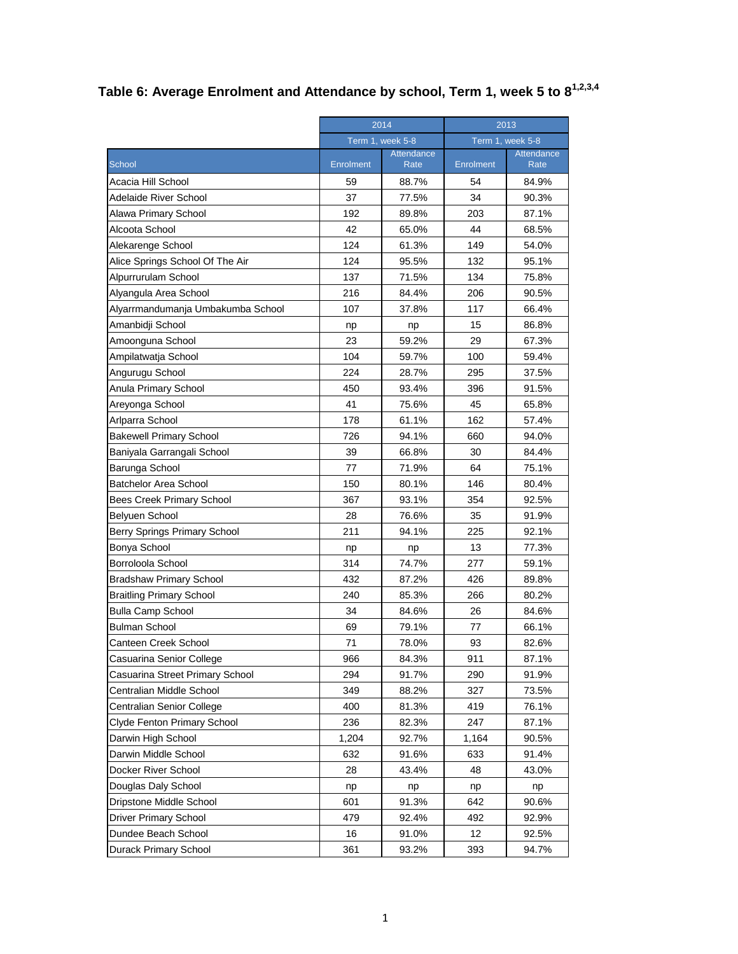| Table 6: Average Enrolment and Attendance by school, Term 1, week 5 to 8 $^{1,2,3,4}$ |  |  |  |
|---------------------------------------------------------------------------------------|--|--|--|
|                                                                                       |  |  |  |

| Term 1, week 5-8<br>Term 1, week 5-8<br>Attendance<br>Attendance<br><b>School</b><br><b>Enrolment</b><br>Rate<br>Enrolment<br>Rate<br>Acacia Hill School<br>59<br>54<br>88.7%<br>84.9%<br>37<br>34<br><b>Adelaide River School</b><br>77.5%<br>90.3%<br>192<br>203<br>Alawa Primary School<br>89.8%<br>87.1%<br>Alcoota School<br>42<br>44<br>68.5%<br>65.0%<br>Alekarenge School<br>124<br>61.3%<br>149<br>54.0%<br>Alice Springs School Of The Air<br>124<br>95.5%<br>132<br>95.1%<br>Alpurrurulam School<br>137<br>71.5%<br>134<br>75.8%<br>Alyangula Area School<br>216<br>84.4%<br>206<br>90.5%<br>107<br>117<br>66.4%<br>Alyarrmandumanja Umbakumba School<br>37.8%<br>86.8%<br>Amanbidji School<br>15<br>np<br>np<br>23<br>59.2%<br>29<br>Amoonguna School<br>67.3%<br>Ampilatwatja School<br>104<br>59.7%<br>100<br>59.4%<br>Angurugu School<br>224<br>295<br>28.7%<br>37.5%<br>Anula Primary School<br>91.5%<br>450<br>93.4%<br>396<br>41<br>Areyonga School<br>75.6%<br>45<br>65.8%<br>Arlparra School<br>178<br>61.1%<br>162<br>57.4%<br>726<br><b>Bakewell Primary School</b><br>94.1%<br>660<br>94.0%<br>39<br>30<br>Baniyala Garrangali School<br>66.8%<br>84.4%<br>77<br>71.9%<br>64<br>75.1%<br>Barunga School<br><b>Batchelor Area School</b><br>150<br>80.1%<br>146<br>80.4%<br>354<br>Bees Creek Primary School<br>367<br>93.1%<br>92.5%<br>Belyuen School<br>28<br>76.6%<br>35<br>91.9%<br>211<br>225<br><b>Berry Springs Primary School</b><br>94.1%<br>92.1%<br>Bonya School<br>77.3%<br>13<br>np<br>np<br>Borroloola School<br>314<br>74.7%<br>277<br>59.1%<br>432<br>87.2%<br>426<br><b>Bradshaw Primary School</b><br>89.8%<br><b>Braitling Primary School</b><br>240<br>85.3%<br>266<br>80.2%<br><b>Bulla Camp School</b><br>34<br>84.6%<br>26<br>84.6%<br><b>Bulman School</b><br>79.1%<br>66.1%<br>69<br>77<br>Canteen Creek School<br>71<br>93<br>78.0%<br>82.6%<br>911<br>Casuarina Senior College<br>966<br>84.3%<br>87.1%<br>290<br>Casuarina Street Primary School<br>294<br>91.7%<br>91.9%<br>349<br>327<br>Centralian Middle School<br>88.2%<br>73.5%<br>400<br>76.1%<br>Centralian Senior College<br>81.3%<br>419<br>236<br>247<br>Clyde Fenton Primary School<br>82.3%<br>87.1%<br>Darwin High School<br>1,204<br>1,164<br>92.7%<br>90.5%<br>Darwin Middle School<br>632<br>91.6%<br>633<br>91.4%<br>Docker River School<br>28<br>43.4%<br>48<br>43.0%<br>Douglas Daly School<br>np<br>np<br>np<br>np<br>Dripstone Middle School<br>601<br>91.3%<br>642<br>90.6%<br><b>Driver Primary School</b><br>479<br>92.4%<br>492<br>92.9%<br>Dundee Beach School<br>16<br>91.0%<br>12<br>92.5% |                       | 2014 |       | 2013 |       |  |
|----------------------------------------------------------------------------------------------------------------------------------------------------------------------------------------------------------------------------------------------------------------------------------------------------------------------------------------------------------------------------------------------------------------------------------------------------------------------------------------------------------------------------------------------------------------------------------------------------------------------------------------------------------------------------------------------------------------------------------------------------------------------------------------------------------------------------------------------------------------------------------------------------------------------------------------------------------------------------------------------------------------------------------------------------------------------------------------------------------------------------------------------------------------------------------------------------------------------------------------------------------------------------------------------------------------------------------------------------------------------------------------------------------------------------------------------------------------------------------------------------------------------------------------------------------------------------------------------------------------------------------------------------------------------------------------------------------------------------------------------------------------------------------------------------------------------------------------------------------------------------------------------------------------------------------------------------------------------------------------------------------------------------------------------------------------------------------------------------------------------------------------------------------------------------------------------------------------------------------------------------------------------------------------------------------------------------------------------------------------------------------------------------------------------------------------------------------------------------------------------------------------------------------------------------------------------------------------------------------------------------|-----------------------|------|-------|------|-------|--|
|                                                                                                                                                                                                                                                                                                                                                                                                                                                                                                                                                                                                                                                                                                                                                                                                                                                                                                                                                                                                                                                                                                                                                                                                                                                                                                                                                                                                                                                                                                                                                                                                                                                                                                                                                                                                                                                                                                                                                                                                                                                                                                                                                                                                                                                                                                                                                                                                                                                                                                                                                                                                                            |                       |      |       |      |       |  |
|                                                                                                                                                                                                                                                                                                                                                                                                                                                                                                                                                                                                                                                                                                                                                                                                                                                                                                                                                                                                                                                                                                                                                                                                                                                                                                                                                                                                                                                                                                                                                                                                                                                                                                                                                                                                                                                                                                                                                                                                                                                                                                                                                                                                                                                                                                                                                                                                                                                                                                                                                                                                                            |                       |      |       |      |       |  |
|                                                                                                                                                                                                                                                                                                                                                                                                                                                                                                                                                                                                                                                                                                                                                                                                                                                                                                                                                                                                                                                                                                                                                                                                                                                                                                                                                                                                                                                                                                                                                                                                                                                                                                                                                                                                                                                                                                                                                                                                                                                                                                                                                                                                                                                                                                                                                                                                                                                                                                                                                                                                                            |                       |      |       |      |       |  |
|                                                                                                                                                                                                                                                                                                                                                                                                                                                                                                                                                                                                                                                                                                                                                                                                                                                                                                                                                                                                                                                                                                                                                                                                                                                                                                                                                                                                                                                                                                                                                                                                                                                                                                                                                                                                                                                                                                                                                                                                                                                                                                                                                                                                                                                                                                                                                                                                                                                                                                                                                                                                                            |                       |      |       |      |       |  |
|                                                                                                                                                                                                                                                                                                                                                                                                                                                                                                                                                                                                                                                                                                                                                                                                                                                                                                                                                                                                                                                                                                                                                                                                                                                                                                                                                                                                                                                                                                                                                                                                                                                                                                                                                                                                                                                                                                                                                                                                                                                                                                                                                                                                                                                                                                                                                                                                                                                                                                                                                                                                                            |                       |      |       |      |       |  |
|                                                                                                                                                                                                                                                                                                                                                                                                                                                                                                                                                                                                                                                                                                                                                                                                                                                                                                                                                                                                                                                                                                                                                                                                                                                                                                                                                                                                                                                                                                                                                                                                                                                                                                                                                                                                                                                                                                                                                                                                                                                                                                                                                                                                                                                                                                                                                                                                                                                                                                                                                                                                                            |                       |      |       |      |       |  |
|                                                                                                                                                                                                                                                                                                                                                                                                                                                                                                                                                                                                                                                                                                                                                                                                                                                                                                                                                                                                                                                                                                                                                                                                                                                                                                                                                                                                                                                                                                                                                                                                                                                                                                                                                                                                                                                                                                                                                                                                                                                                                                                                                                                                                                                                                                                                                                                                                                                                                                                                                                                                                            |                       |      |       |      |       |  |
|                                                                                                                                                                                                                                                                                                                                                                                                                                                                                                                                                                                                                                                                                                                                                                                                                                                                                                                                                                                                                                                                                                                                                                                                                                                                                                                                                                                                                                                                                                                                                                                                                                                                                                                                                                                                                                                                                                                                                                                                                                                                                                                                                                                                                                                                                                                                                                                                                                                                                                                                                                                                                            |                       |      |       |      |       |  |
|                                                                                                                                                                                                                                                                                                                                                                                                                                                                                                                                                                                                                                                                                                                                                                                                                                                                                                                                                                                                                                                                                                                                                                                                                                                                                                                                                                                                                                                                                                                                                                                                                                                                                                                                                                                                                                                                                                                                                                                                                                                                                                                                                                                                                                                                                                                                                                                                                                                                                                                                                                                                                            |                       |      |       |      |       |  |
|                                                                                                                                                                                                                                                                                                                                                                                                                                                                                                                                                                                                                                                                                                                                                                                                                                                                                                                                                                                                                                                                                                                                                                                                                                                                                                                                                                                                                                                                                                                                                                                                                                                                                                                                                                                                                                                                                                                                                                                                                                                                                                                                                                                                                                                                                                                                                                                                                                                                                                                                                                                                                            |                       |      |       |      |       |  |
|                                                                                                                                                                                                                                                                                                                                                                                                                                                                                                                                                                                                                                                                                                                                                                                                                                                                                                                                                                                                                                                                                                                                                                                                                                                                                                                                                                                                                                                                                                                                                                                                                                                                                                                                                                                                                                                                                                                                                                                                                                                                                                                                                                                                                                                                                                                                                                                                                                                                                                                                                                                                                            |                       |      |       |      |       |  |
|                                                                                                                                                                                                                                                                                                                                                                                                                                                                                                                                                                                                                                                                                                                                                                                                                                                                                                                                                                                                                                                                                                                                                                                                                                                                                                                                                                                                                                                                                                                                                                                                                                                                                                                                                                                                                                                                                                                                                                                                                                                                                                                                                                                                                                                                                                                                                                                                                                                                                                                                                                                                                            |                       |      |       |      |       |  |
|                                                                                                                                                                                                                                                                                                                                                                                                                                                                                                                                                                                                                                                                                                                                                                                                                                                                                                                                                                                                                                                                                                                                                                                                                                                                                                                                                                                                                                                                                                                                                                                                                                                                                                                                                                                                                                                                                                                                                                                                                                                                                                                                                                                                                                                                                                                                                                                                                                                                                                                                                                                                                            |                       |      |       |      |       |  |
|                                                                                                                                                                                                                                                                                                                                                                                                                                                                                                                                                                                                                                                                                                                                                                                                                                                                                                                                                                                                                                                                                                                                                                                                                                                                                                                                                                                                                                                                                                                                                                                                                                                                                                                                                                                                                                                                                                                                                                                                                                                                                                                                                                                                                                                                                                                                                                                                                                                                                                                                                                                                                            |                       |      |       |      |       |  |
|                                                                                                                                                                                                                                                                                                                                                                                                                                                                                                                                                                                                                                                                                                                                                                                                                                                                                                                                                                                                                                                                                                                                                                                                                                                                                                                                                                                                                                                                                                                                                                                                                                                                                                                                                                                                                                                                                                                                                                                                                                                                                                                                                                                                                                                                                                                                                                                                                                                                                                                                                                                                                            |                       |      |       |      |       |  |
|                                                                                                                                                                                                                                                                                                                                                                                                                                                                                                                                                                                                                                                                                                                                                                                                                                                                                                                                                                                                                                                                                                                                                                                                                                                                                                                                                                                                                                                                                                                                                                                                                                                                                                                                                                                                                                                                                                                                                                                                                                                                                                                                                                                                                                                                                                                                                                                                                                                                                                                                                                                                                            |                       |      |       |      |       |  |
|                                                                                                                                                                                                                                                                                                                                                                                                                                                                                                                                                                                                                                                                                                                                                                                                                                                                                                                                                                                                                                                                                                                                                                                                                                                                                                                                                                                                                                                                                                                                                                                                                                                                                                                                                                                                                                                                                                                                                                                                                                                                                                                                                                                                                                                                                                                                                                                                                                                                                                                                                                                                                            |                       |      |       |      |       |  |
|                                                                                                                                                                                                                                                                                                                                                                                                                                                                                                                                                                                                                                                                                                                                                                                                                                                                                                                                                                                                                                                                                                                                                                                                                                                                                                                                                                                                                                                                                                                                                                                                                                                                                                                                                                                                                                                                                                                                                                                                                                                                                                                                                                                                                                                                                                                                                                                                                                                                                                                                                                                                                            |                       |      |       |      |       |  |
|                                                                                                                                                                                                                                                                                                                                                                                                                                                                                                                                                                                                                                                                                                                                                                                                                                                                                                                                                                                                                                                                                                                                                                                                                                                                                                                                                                                                                                                                                                                                                                                                                                                                                                                                                                                                                                                                                                                                                                                                                                                                                                                                                                                                                                                                                                                                                                                                                                                                                                                                                                                                                            |                       |      |       |      |       |  |
|                                                                                                                                                                                                                                                                                                                                                                                                                                                                                                                                                                                                                                                                                                                                                                                                                                                                                                                                                                                                                                                                                                                                                                                                                                                                                                                                                                                                                                                                                                                                                                                                                                                                                                                                                                                                                                                                                                                                                                                                                                                                                                                                                                                                                                                                                                                                                                                                                                                                                                                                                                                                                            |                       |      |       |      |       |  |
|                                                                                                                                                                                                                                                                                                                                                                                                                                                                                                                                                                                                                                                                                                                                                                                                                                                                                                                                                                                                                                                                                                                                                                                                                                                                                                                                                                                                                                                                                                                                                                                                                                                                                                                                                                                                                                                                                                                                                                                                                                                                                                                                                                                                                                                                                                                                                                                                                                                                                                                                                                                                                            |                       |      |       |      |       |  |
|                                                                                                                                                                                                                                                                                                                                                                                                                                                                                                                                                                                                                                                                                                                                                                                                                                                                                                                                                                                                                                                                                                                                                                                                                                                                                                                                                                                                                                                                                                                                                                                                                                                                                                                                                                                                                                                                                                                                                                                                                                                                                                                                                                                                                                                                                                                                                                                                                                                                                                                                                                                                                            |                       |      |       |      |       |  |
|                                                                                                                                                                                                                                                                                                                                                                                                                                                                                                                                                                                                                                                                                                                                                                                                                                                                                                                                                                                                                                                                                                                                                                                                                                                                                                                                                                                                                                                                                                                                                                                                                                                                                                                                                                                                                                                                                                                                                                                                                                                                                                                                                                                                                                                                                                                                                                                                                                                                                                                                                                                                                            |                       |      |       |      |       |  |
|                                                                                                                                                                                                                                                                                                                                                                                                                                                                                                                                                                                                                                                                                                                                                                                                                                                                                                                                                                                                                                                                                                                                                                                                                                                                                                                                                                                                                                                                                                                                                                                                                                                                                                                                                                                                                                                                                                                                                                                                                                                                                                                                                                                                                                                                                                                                                                                                                                                                                                                                                                                                                            |                       |      |       |      |       |  |
|                                                                                                                                                                                                                                                                                                                                                                                                                                                                                                                                                                                                                                                                                                                                                                                                                                                                                                                                                                                                                                                                                                                                                                                                                                                                                                                                                                                                                                                                                                                                                                                                                                                                                                                                                                                                                                                                                                                                                                                                                                                                                                                                                                                                                                                                                                                                                                                                                                                                                                                                                                                                                            |                       |      |       |      |       |  |
|                                                                                                                                                                                                                                                                                                                                                                                                                                                                                                                                                                                                                                                                                                                                                                                                                                                                                                                                                                                                                                                                                                                                                                                                                                                                                                                                                                                                                                                                                                                                                                                                                                                                                                                                                                                                                                                                                                                                                                                                                                                                                                                                                                                                                                                                                                                                                                                                                                                                                                                                                                                                                            |                       |      |       |      |       |  |
|                                                                                                                                                                                                                                                                                                                                                                                                                                                                                                                                                                                                                                                                                                                                                                                                                                                                                                                                                                                                                                                                                                                                                                                                                                                                                                                                                                                                                                                                                                                                                                                                                                                                                                                                                                                                                                                                                                                                                                                                                                                                                                                                                                                                                                                                                                                                                                                                                                                                                                                                                                                                                            |                       |      |       |      |       |  |
|                                                                                                                                                                                                                                                                                                                                                                                                                                                                                                                                                                                                                                                                                                                                                                                                                                                                                                                                                                                                                                                                                                                                                                                                                                                                                                                                                                                                                                                                                                                                                                                                                                                                                                                                                                                                                                                                                                                                                                                                                                                                                                                                                                                                                                                                                                                                                                                                                                                                                                                                                                                                                            |                       |      |       |      |       |  |
|                                                                                                                                                                                                                                                                                                                                                                                                                                                                                                                                                                                                                                                                                                                                                                                                                                                                                                                                                                                                                                                                                                                                                                                                                                                                                                                                                                                                                                                                                                                                                                                                                                                                                                                                                                                                                                                                                                                                                                                                                                                                                                                                                                                                                                                                                                                                                                                                                                                                                                                                                                                                                            |                       |      |       |      |       |  |
|                                                                                                                                                                                                                                                                                                                                                                                                                                                                                                                                                                                                                                                                                                                                                                                                                                                                                                                                                                                                                                                                                                                                                                                                                                                                                                                                                                                                                                                                                                                                                                                                                                                                                                                                                                                                                                                                                                                                                                                                                                                                                                                                                                                                                                                                                                                                                                                                                                                                                                                                                                                                                            |                       |      |       |      |       |  |
|                                                                                                                                                                                                                                                                                                                                                                                                                                                                                                                                                                                                                                                                                                                                                                                                                                                                                                                                                                                                                                                                                                                                                                                                                                                                                                                                                                                                                                                                                                                                                                                                                                                                                                                                                                                                                                                                                                                                                                                                                                                                                                                                                                                                                                                                                                                                                                                                                                                                                                                                                                                                                            |                       |      |       |      |       |  |
|                                                                                                                                                                                                                                                                                                                                                                                                                                                                                                                                                                                                                                                                                                                                                                                                                                                                                                                                                                                                                                                                                                                                                                                                                                                                                                                                                                                                                                                                                                                                                                                                                                                                                                                                                                                                                                                                                                                                                                                                                                                                                                                                                                                                                                                                                                                                                                                                                                                                                                                                                                                                                            |                       |      |       |      |       |  |
|                                                                                                                                                                                                                                                                                                                                                                                                                                                                                                                                                                                                                                                                                                                                                                                                                                                                                                                                                                                                                                                                                                                                                                                                                                                                                                                                                                                                                                                                                                                                                                                                                                                                                                                                                                                                                                                                                                                                                                                                                                                                                                                                                                                                                                                                                                                                                                                                                                                                                                                                                                                                                            |                       |      |       |      |       |  |
|                                                                                                                                                                                                                                                                                                                                                                                                                                                                                                                                                                                                                                                                                                                                                                                                                                                                                                                                                                                                                                                                                                                                                                                                                                                                                                                                                                                                                                                                                                                                                                                                                                                                                                                                                                                                                                                                                                                                                                                                                                                                                                                                                                                                                                                                                                                                                                                                                                                                                                                                                                                                                            |                       |      |       |      |       |  |
|                                                                                                                                                                                                                                                                                                                                                                                                                                                                                                                                                                                                                                                                                                                                                                                                                                                                                                                                                                                                                                                                                                                                                                                                                                                                                                                                                                                                                                                                                                                                                                                                                                                                                                                                                                                                                                                                                                                                                                                                                                                                                                                                                                                                                                                                                                                                                                                                                                                                                                                                                                                                                            |                       |      |       |      |       |  |
|                                                                                                                                                                                                                                                                                                                                                                                                                                                                                                                                                                                                                                                                                                                                                                                                                                                                                                                                                                                                                                                                                                                                                                                                                                                                                                                                                                                                                                                                                                                                                                                                                                                                                                                                                                                                                                                                                                                                                                                                                                                                                                                                                                                                                                                                                                                                                                                                                                                                                                                                                                                                                            |                       |      |       |      |       |  |
|                                                                                                                                                                                                                                                                                                                                                                                                                                                                                                                                                                                                                                                                                                                                                                                                                                                                                                                                                                                                                                                                                                                                                                                                                                                                                                                                                                                                                                                                                                                                                                                                                                                                                                                                                                                                                                                                                                                                                                                                                                                                                                                                                                                                                                                                                                                                                                                                                                                                                                                                                                                                                            |                       |      |       |      |       |  |
|                                                                                                                                                                                                                                                                                                                                                                                                                                                                                                                                                                                                                                                                                                                                                                                                                                                                                                                                                                                                                                                                                                                                                                                                                                                                                                                                                                                                                                                                                                                                                                                                                                                                                                                                                                                                                                                                                                                                                                                                                                                                                                                                                                                                                                                                                                                                                                                                                                                                                                                                                                                                                            |                       |      |       |      |       |  |
|                                                                                                                                                                                                                                                                                                                                                                                                                                                                                                                                                                                                                                                                                                                                                                                                                                                                                                                                                                                                                                                                                                                                                                                                                                                                                                                                                                                                                                                                                                                                                                                                                                                                                                                                                                                                                                                                                                                                                                                                                                                                                                                                                                                                                                                                                                                                                                                                                                                                                                                                                                                                                            |                       |      |       |      |       |  |
|                                                                                                                                                                                                                                                                                                                                                                                                                                                                                                                                                                                                                                                                                                                                                                                                                                                                                                                                                                                                                                                                                                                                                                                                                                                                                                                                                                                                                                                                                                                                                                                                                                                                                                                                                                                                                                                                                                                                                                                                                                                                                                                                                                                                                                                                                                                                                                                                                                                                                                                                                                                                                            |                       |      |       |      |       |  |
|                                                                                                                                                                                                                                                                                                                                                                                                                                                                                                                                                                                                                                                                                                                                                                                                                                                                                                                                                                                                                                                                                                                                                                                                                                                                                                                                                                                                                                                                                                                                                                                                                                                                                                                                                                                                                                                                                                                                                                                                                                                                                                                                                                                                                                                                                                                                                                                                                                                                                                                                                                                                                            |                       |      |       |      |       |  |
|                                                                                                                                                                                                                                                                                                                                                                                                                                                                                                                                                                                                                                                                                                                                                                                                                                                                                                                                                                                                                                                                                                                                                                                                                                                                                                                                                                                                                                                                                                                                                                                                                                                                                                                                                                                                                                                                                                                                                                                                                                                                                                                                                                                                                                                                                                                                                                                                                                                                                                                                                                                                                            |                       |      |       |      |       |  |
|                                                                                                                                                                                                                                                                                                                                                                                                                                                                                                                                                                                                                                                                                                                                                                                                                                                                                                                                                                                                                                                                                                                                                                                                                                                                                                                                                                                                                                                                                                                                                                                                                                                                                                                                                                                                                                                                                                                                                                                                                                                                                                                                                                                                                                                                                                                                                                                                                                                                                                                                                                                                                            |                       |      |       |      |       |  |
|                                                                                                                                                                                                                                                                                                                                                                                                                                                                                                                                                                                                                                                                                                                                                                                                                                                                                                                                                                                                                                                                                                                                                                                                                                                                                                                                                                                                                                                                                                                                                                                                                                                                                                                                                                                                                                                                                                                                                                                                                                                                                                                                                                                                                                                                                                                                                                                                                                                                                                                                                                                                                            |                       |      |       |      |       |  |
|                                                                                                                                                                                                                                                                                                                                                                                                                                                                                                                                                                                                                                                                                                                                                                                                                                                                                                                                                                                                                                                                                                                                                                                                                                                                                                                                                                                                                                                                                                                                                                                                                                                                                                                                                                                                                                                                                                                                                                                                                                                                                                                                                                                                                                                                                                                                                                                                                                                                                                                                                                                                                            |                       |      |       |      |       |  |
|                                                                                                                                                                                                                                                                                                                                                                                                                                                                                                                                                                                                                                                                                                                                                                                                                                                                                                                                                                                                                                                                                                                                                                                                                                                                                                                                                                                                                                                                                                                                                                                                                                                                                                                                                                                                                                                                                                                                                                                                                                                                                                                                                                                                                                                                                                                                                                                                                                                                                                                                                                                                                            | Durack Primary School | 361  | 93.2% | 393  | 94.7% |  |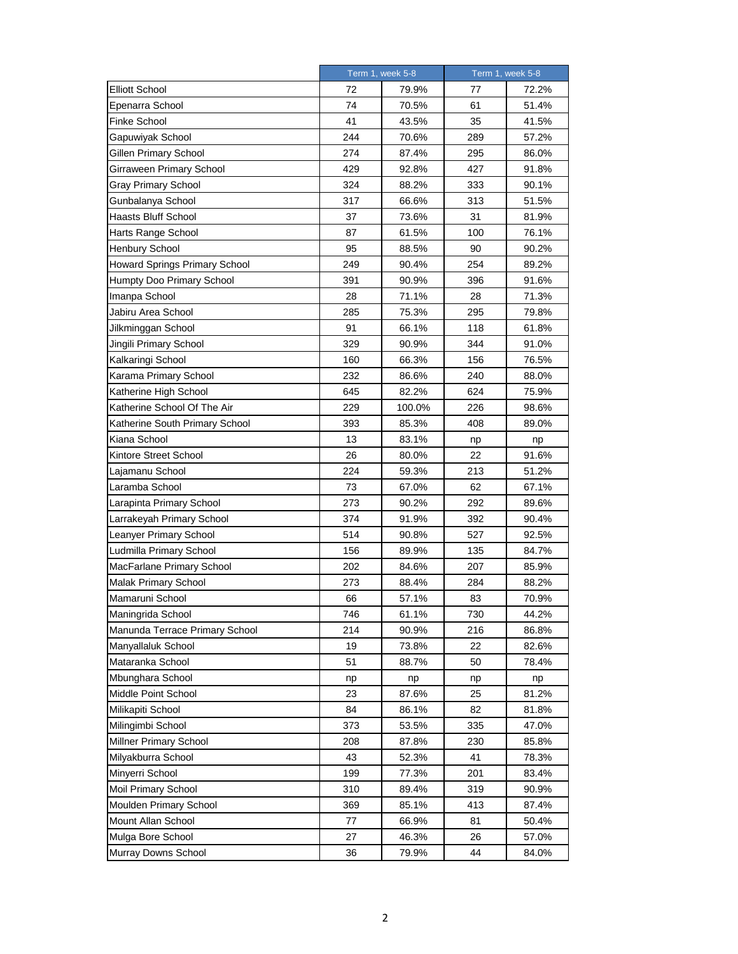|                                | Term 1, week 5-8 |        | Term 1, week 5-8 |       |
|--------------------------------|------------------|--------|------------------|-------|
| <b>Elliott School</b>          | 72               | 79.9%  | 77               | 72.2% |
| Epenarra School                | 74               | 70.5%  | 61               | 51.4% |
| <b>Finke School</b>            | 41               | 43.5%  | 35               | 41.5% |
| Gapuwiyak School               | 244              | 70.6%  | 289              | 57.2% |
| Gillen Primary School          | 274              | 87.4%  | 295              | 86.0% |
| Girraween Primary School       | 429              | 92.8%  | 427              | 91.8% |
| <b>Gray Primary School</b>     | 324              | 88.2%  | 333              | 90.1% |
| Gunbalanya School              | 317              | 66.6%  | 313              | 51.5% |
| <b>Haasts Bluff School</b>     | 37               | 73.6%  | 31               | 81.9% |
| Harts Range School             | 87               | 61.5%  | 100              | 76.1% |
| <b>Henbury School</b>          | 95               | 88.5%  | 90               | 90.2% |
| Howard Springs Primary School  | 249              | 90.4%  | 254              | 89.2% |
| Humpty Doo Primary School      | 391              | 90.9%  | 396              | 91.6% |
| Imanpa School                  | 28               | 71.1%  | 28               | 71.3% |
| Jabiru Area School             | 285              | 75.3%  | 295              | 79.8% |
| Jilkminggan School             | 91               | 66.1%  | 118              | 61.8% |
| Jingili Primary School         | 329              | 90.9%  | 344              | 91.0% |
| Kalkaringi School              | 160              | 66.3%  | 156              | 76.5% |
| Karama Primary School          | 232              | 86.6%  | 240              | 88.0% |
| Katherine High School          | 645              | 82.2%  | 624              | 75.9% |
| Katherine School Of The Air    | 229              | 100.0% | 226              | 98.6% |
| Katherine South Primary School | 393              | 85.3%  | 408              | 89.0% |
| Kiana School                   | 13               | 83.1%  | np               | np    |
| Kintore Street School          | 26               | 80.0%  | 22               | 91.6% |
| Lajamanu School                | 224              | 59.3%  | 213              | 51.2% |
| Laramba School                 | 73               | 67.0%  | 62               | 67.1% |
| Larapinta Primary School       | 273              | 90.2%  | 292              | 89.6% |
| Larrakeyah Primary School      | 374              | 91.9%  | 392              | 90.4% |
| Leanyer Primary School         | 514              | 90.8%  | 527              | 92.5% |
| Ludmilla Primary School        | 156              | 89.9%  | 135              | 84.7% |
| MacFarlane Primary School      | 202              | 84.6%  | 207              | 85.9% |
| <b>Malak Primary School</b>    | 273              | 88.4%  | 284              | 88.2% |
| Mamaruni School                | 66               | 57.1%  | 83               | 70.9% |
| Maningrida School              | 746              | 61.1%  | 730              | 44.2% |
| Manunda Terrace Primary School | 214              | 90.9%  | 216              | 86.8% |
| Manyallaluk School             | 19               | 73.8%  | 22               | 82.6% |
| Mataranka School               | 51               | 88.7%  | 50               | 78.4% |
| Mbunghara School               | np               | np     | np               | np    |
| Middle Point School            | 23               | 87.6%  | 25               | 81.2% |
| Milikapiti School              | 84               | 86.1%  | 82               | 81.8% |
| Milingimbi School              | 373              | 53.5%  | 335              | 47.0% |
| Millner Primary School         | 208              | 87.8%  | 230              | 85.8% |
| Milyakburra School             | 43               | 52.3%  | 41               | 78.3% |
| Minyerri School                | 199              | 77.3%  | 201              | 83.4% |
| Moil Primary School            | 310              | 89.4%  | 319              | 90.9% |
| Moulden Primary School         | 369              | 85.1%  | 413              | 87.4% |
| Mount Allan School             | 77               | 66.9%  | 81               | 50.4% |
| Mulga Bore School              | 27               | 46.3%  | 26               | 57.0% |
| Murray Downs School            | 36               | 79.9%  | 44               | 84.0% |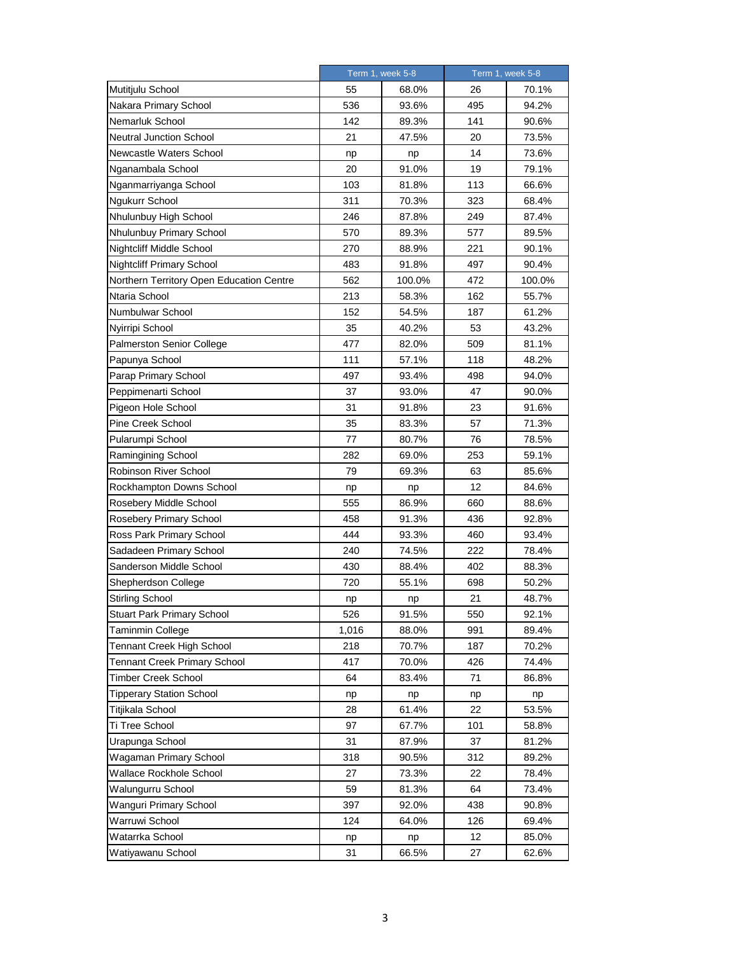|                                          |       | Term 1, week 5-8 |     | Term 1, week 5-8 |  |
|------------------------------------------|-------|------------------|-----|------------------|--|
| Mutitjulu School                         | 55    | 68.0%            | 26  | 70.1%            |  |
| Nakara Primary School                    | 536   | 93.6%            | 495 | 94.2%            |  |
| Nemarluk School                          | 142   | 89.3%            | 141 | 90.6%            |  |
| <b>Neutral Junction School</b>           | 21    | 47.5%            | 20  | 73.5%            |  |
| Newcastle Waters School                  | np    | np               | 14  | 73.6%            |  |
| Nganambala School                        | 20    | 91.0%            | 19  | 79.1%            |  |
| Nganmarriyanga School                    | 103   | 81.8%            | 113 | 66.6%            |  |
| Ngukurr School                           | 311   | 70.3%            | 323 | 68.4%            |  |
| Nhulunbuy High School                    | 246   | 87.8%            | 249 | 87.4%            |  |
| Nhulunbuy Primary School                 | 570   | 89.3%            | 577 | 89.5%            |  |
| Nightcliff Middle School                 | 270   | 88.9%            | 221 | 90.1%            |  |
| <b>Nightcliff Primary School</b>         | 483   | 91.8%            | 497 | 90.4%            |  |
| Northern Territory Open Education Centre | 562   | 100.0%           | 472 | 100.0%           |  |
| Ntaria School                            | 213   | 58.3%            | 162 | 55.7%            |  |
| Numbulwar School                         | 152   | 54.5%            | 187 | 61.2%            |  |
| Nyirripi School                          | 35    | 40.2%            | 53  | 43.2%            |  |
| <b>Palmerston Senior College</b>         | 477   | 82.0%            | 509 | 81.1%            |  |
| Papunya School                           | 111   | 57.1%            | 118 | 48.2%            |  |
| Parap Primary School                     | 497   | 93.4%            | 498 | 94.0%            |  |
| Peppimenarti School                      | 37    | 93.0%            | 47  | 90.0%            |  |
| Pigeon Hole School                       | 31    | 91.8%            | 23  | 91.6%            |  |
| Pine Creek School                        | 35    | 83.3%            | 57  | 71.3%            |  |
| Pularumpi School                         | 77    | 80.7%            | 76  | 78.5%            |  |
| Ramingining School                       | 282   | 69.0%            | 253 | 59.1%            |  |
| Robinson River School                    | 79    | 69.3%            | 63  | 85.6%            |  |
| Rockhampton Downs School                 | np    | np               | 12  | 84.6%            |  |
| Rosebery Middle School                   | 555   | 86.9%            | 660 | 88.6%            |  |
| Rosebery Primary School                  | 458   | 91.3%            | 436 | 92.8%            |  |
| Ross Park Primary School                 | 444   | 93.3%            | 460 | 93.4%            |  |
| Sadadeen Primary School                  | 240   | 74.5%            | 222 | 78.4%            |  |
| Sanderson Middle School                  | 430   | 88.4%            | 402 | 88.3%            |  |
| Shepherdson College                      | 720   | 55.1%            | 698 | 50.2%            |  |
| <b>Stirling School</b>                   | np    | np               | 21  | 48.7%            |  |
| <b>Stuart Park Primary School</b>        | 526   | 91.5%            | 550 | 92.1%            |  |
| Taminmin College                         | 1,016 | 88.0%            | 991 | 89.4%            |  |
| <b>Tennant Creek High School</b>         | 218   | 70.7%            | 187 | 70.2%            |  |
| <b>Tennant Creek Primary School</b>      | 417   | 70.0%            | 426 | 74.4%            |  |
| Timber Creek School                      | 64    | 83.4%            | 71  | 86.8%            |  |
| <b>Tipperary Station School</b>          | np    | np               | np  | np               |  |
| Titjikala School                         | 28    | 61.4%            | 22  | 53.5%            |  |
| Ti Tree School                           | 97    | 67.7%            | 101 | 58.8%            |  |
| Urapunga School                          | 31    | 87.9%            | 37  | 81.2%            |  |
| Wagaman Primary School                   | 318   | 90.5%            | 312 | 89.2%            |  |
| Wallace Rockhole School                  | 27    | 73.3%            | 22  | 78.4%            |  |
| Walungurru School                        | 59    | 81.3%            | 64  | 73.4%            |  |
| Wanguri Primary School                   | 397   | 92.0%            | 438 | 90.8%            |  |
| Warruwi School                           | 124   | 64.0%            | 126 | 69.4%            |  |
| Watarrka School                          | np    | np               | 12  | 85.0%            |  |
| Watiyawanu School                        | 31    | 66.5%            | 27  | 62.6%            |  |
|                                          |       |                  |     |                  |  |